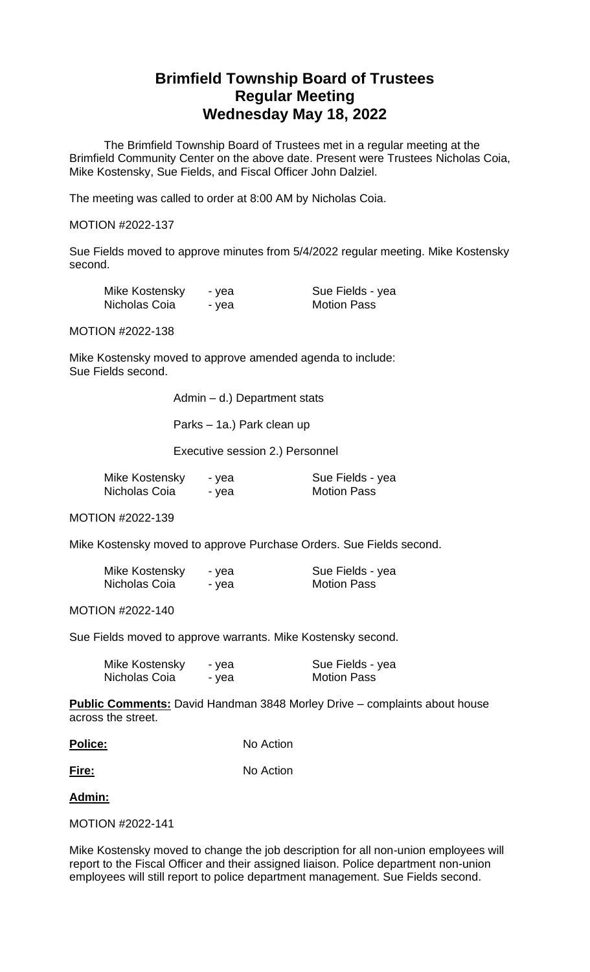# **Brimfield Township Board of Trustees Regular Meeting Wednesday May 18, 2022**

The Brimfield Township Board of Trustees met in a regular meeting at the Brimfield Community Center on the above date. Present were Trustees Nicholas Coia, Mike Kostensky, Sue Fields, and Fiscal Officer John Dalziel.

The meeting was called to order at 8:00 AM by Nicholas Coia.

#### MOTION #2022-137

Sue Fields moved to approve minutes from 5/4/2022 regular meeting. Mike Kostensky second.

| Mike Kostensky | - yea | Sue Fields - yea   |
|----------------|-------|--------------------|
| Nicholas Coia  | - yea | <b>Motion Pass</b> |

MOTION #2022-138

Mike Kostensky moved to approve amended agenda to include: Sue Fields second.

Admin – d.) Department stats

Parks – 1a.) Park clean up

Executive session 2.) Personnel

| Mike Kostensky | - yea | Sue Fields - yea   |
|----------------|-------|--------------------|
| Nicholas Coia  | - yea | <b>Motion Pass</b> |

MOTION #2022-139

Mike Kostensky moved to approve Purchase Orders. Sue Fields second.

| Mike Kostensky | - yea | Sue Fields - yea   |
|----------------|-------|--------------------|
| Nicholas Coia  | - yea | <b>Motion Pass</b> |

MOTION #2022-140

Sue Fields moved to approve warrants. Mike Kostensky second.

| Mike Kostensky | - yea | Sue Fields - yea   |
|----------------|-------|--------------------|
| Nicholas Coia  | - yea | <b>Motion Pass</b> |

**Public Comments:** David Handman 3848 Morley Drive – complaints about house across the street.

**Fire:** No Action

**Admin:**

MOTION #2022-141

Mike Kostensky moved to change the job description for all non-union employees will report to the Fiscal Officer and their assigned liaison. Police department non-union employees will still report to police department management. Sue Fields second.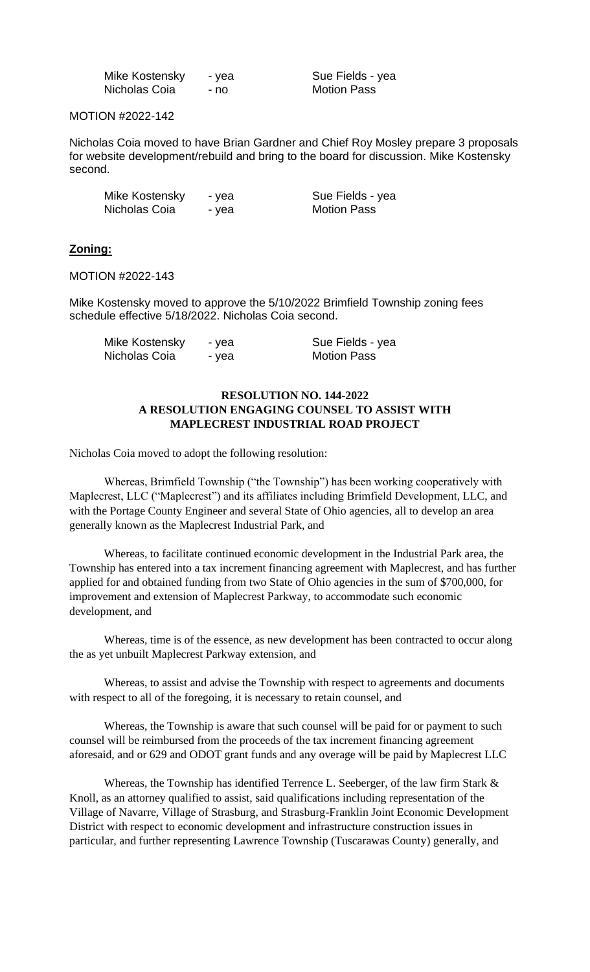| Mike Kostensky | - yea |
|----------------|-------|
| Nicholas Coia  | - no  |

Sue Fields - yea Motion Pass

MOTION #2022-142

Nicholas Coia moved to have Brian Gardner and Chief Roy Mosley prepare 3 proposals for website development/rebuild and bring to the board for discussion. Mike Kostensky second.

| Mike Kostensky | - yea | Sue Fields - yea   |
|----------------|-------|--------------------|
| Nicholas Coia  | - yea | <b>Motion Pass</b> |

## **Zoning:**

MOTION #2022-143

Mike Kostensky moved to approve the 5/10/2022 Brimfield Township zoning fees schedule effective 5/18/2022. Nicholas Coia second.

| Mike Kostensky | - vea | Sue Fields - yea   |
|----------------|-------|--------------------|
| Nicholas Coia  | - yea | <b>Motion Pass</b> |

## **RESOLUTION NO. 144-2022 A RESOLUTION ENGAGING COUNSEL TO ASSIST WITH MAPLECREST INDUSTRIAL ROAD PROJECT**

Nicholas Coia moved to adopt the following resolution:

Whereas, Brimfield Township ("the Township") has been working cooperatively with Maplecrest, LLC ("Maplecrest") and its affiliates including Brimfield Development, LLC, and with the Portage County Engineer and several State of Ohio agencies, all to develop an area generally known as the Maplecrest Industrial Park, and

Whereas, to facilitate continued economic development in the Industrial Park area, the Township has entered into a tax increment financing agreement with Maplecrest, and has further applied for and obtained funding from two State of Ohio agencies in the sum of \$700,000, for improvement and extension of Maplecrest Parkway, to accommodate such economic development, and

Whereas, time is of the essence, as new development has been contracted to occur along the as yet unbuilt Maplecrest Parkway extension, and

Whereas, to assist and advise the Township with respect to agreements and documents with respect to all of the foregoing, it is necessary to retain counsel, and

Whereas, the Township is aware that such counsel will be paid for or payment to such counsel will be reimbursed from the proceeds of the tax increment financing agreement aforesaid, and or 629 and ODOT grant funds and any overage will be paid by Maplecrest LLC

Whereas, the Township has identified Terrence L. Seeberger, of the law firm Stark & Knoll, as an attorney qualified to assist, said qualifications including representation of the Village of Navarre, Village of Strasburg, and Strasburg-Franklin Joint Economic Development District with respect to economic development and infrastructure construction issues in particular, and further representing Lawrence Township (Tuscarawas County) generally, and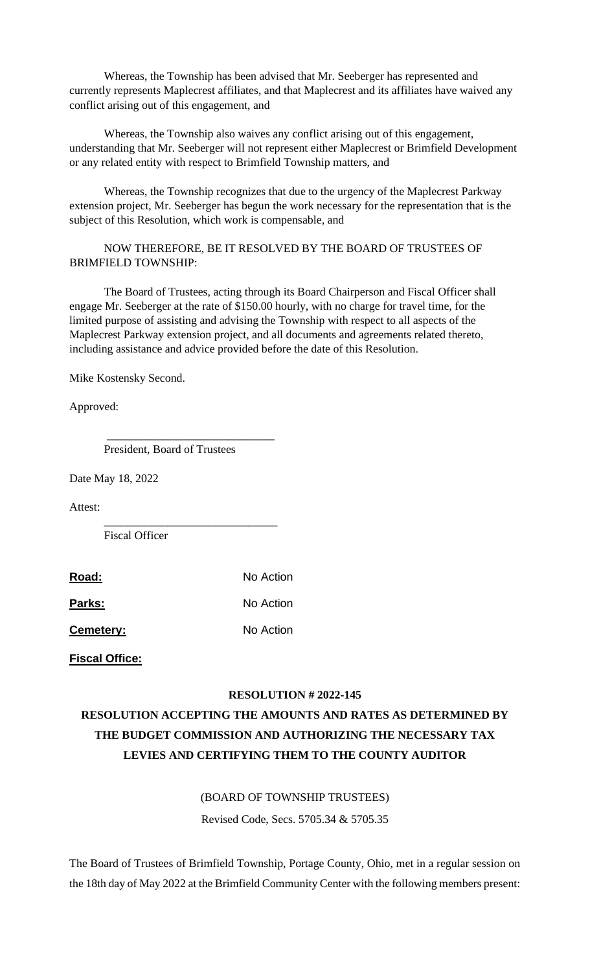Whereas, the Township has been advised that Mr. Seeberger has represented and currently represents Maplecrest affiliates, and that Maplecrest and its affiliates have waived any conflict arising out of this engagement, and

Whereas, the Township also waives any conflict arising out of this engagement, understanding that Mr. Seeberger will not represent either Maplecrest or Brimfield Development or any related entity with respect to Brimfield Township matters, and

Whereas, the Township recognizes that due to the urgency of the Maplecrest Parkway extension project, Mr. Seeberger has begun the work necessary for the representation that is the subject of this Resolution, which work is compensable, and

## NOW THEREFORE, BE IT RESOLVED BY THE BOARD OF TRUSTEES OF BRIMFIELD TOWNSHIP:

The Board of Trustees, acting through its Board Chairperson and Fiscal Officer shall engage Mr. Seeberger at the rate of \$150.00 hourly, with no charge for travel time, for the limited purpose of assisting and advising the Township with respect to all aspects of the Maplecrest Parkway extension project, and all documents and agreements related thereto, including assistance and advice provided before the date of this Resolution.

Mike Kostensky Second.

Approved:

President, Board of Trustees

\_\_\_\_\_\_\_\_\_\_\_\_\_\_\_\_\_\_\_\_\_\_\_\_\_\_\_\_\_

\_\_\_\_\_\_\_\_\_\_\_\_\_\_\_\_\_\_\_\_\_\_\_\_\_\_\_\_\_\_

Date May 18, 2022

Attest:

Fiscal Officer

| Road: | No Action |
|-------|-----------|
|       |           |

Parks: No Action

**Cemetery:** No Action

**Fiscal Office:**

### **RESOLUTION # 2022-145**

# **RESOLUTION ACCEPTING THE AMOUNTS AND RATES AS DETERMINED BY THE BUDGET COMMISSION AND AUTHORIZING THE NECESSARY TAX LEVIES AND CERTIFYING THEM TO THE COUNTY AUDITOR**

### (BOARD OF TOWNSHIP TRUSTEES)

Revised Code, Secs. 5705.34 & 5705.35

The Board of Trustees of Brimfield Township, Portage County, Ohio, met in a regular session on the 18th day of May 2022 at the Brimfield Community Center with the following members present: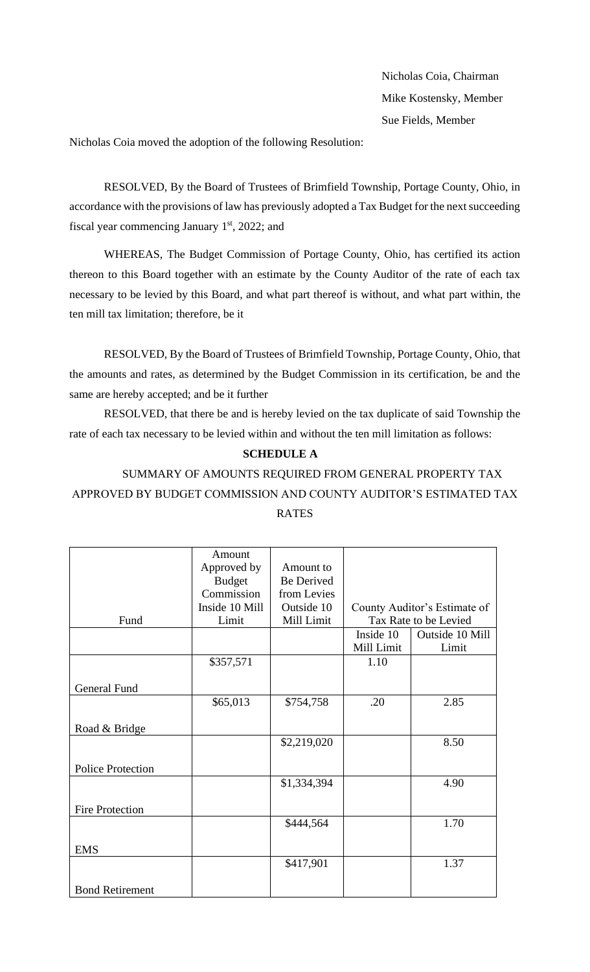Nicholas Coia, Chairman Mike Kostensky, Member Sue Fields, Member

Nicholas Coia moved the adoption of the following Resolution:

RESOLVED, By the Board of Trustees of Brimfield Township, Portage County, Ohio, in accordance with the provisions of law has previously adopted a Tax Budget for the next succeeding fiscal year commencing January  $1<sup>st</sup>$ , 2022; and

WHEREAS, The Budget Commission of Portage County, Ohio, has certified its action thereon to this Board together with an estimate by the County Auditor of the rate of each tax necessary to be levied by this Board, and what part thereof is without, and what part within, the ten mill tax limitation; therefore, be it

RESOLVED, By the Board of Trustees of Brimfield Township, Portage County, Ohio, that the amounts and rates, as determined by the Budget Commission in its certification, be and the same are hereby accepted; and be it further

RESOLVED, that there be and is hereby levied on the tax duplicate of said Township the rate of each tax necessary to be levied within and without the ten mill limitation as follows:

## **SCHEDULE A**

# SUMMARY OF AMOUNTS REQUIRED FROM GENERAL PROPERTY TAX APPROVED BY BUDGET COMMISSION AND COUNTY AUDITOR'S ESTIMATED TAX RATES

|                          | Amount         |                   |            |                              |
|--------------------------|----------------|-------------------|------------|------------------------------|
|                          | Approved by    | Amount to         |            |                              |
|                          | <b>Budget</b>  | <b>Be Derived</b> |            |                              |
|                          | Commission     | from Levies       |            |                              |
|                          | Inside 10 Mill | Outside 10        |            | County Auditor's Estimate of |
| Fund                     | Limit          | Mill Limit        |            | Tax Rate to be Levied        |
|                          |                |                   | Inside 10  | Outside 10 Mill              |
|                          |                |                   | Mill Limit | Limit                        |
|                          | \$357,571      |                   | 1.10       |                              |
|                          |                |                   |            |                              |
| <b>General Fund</b>      |                |                   |            |                              |
|                          | \$65,013       | \$754,758         | .20        | 2.85                         |
|                          |                |                   |            |                              |
| Road & Bridge            |                |                   |            |                              |
|                          |                | \$2,219,020       |            | 8.50                         |
|                          |                |                   |            |                              |
| <b>Police Protection</b> |                |                   |            |                              |
|                          |                | \$1,334,394       |            | 4.90                         |
|                          |                |                   |            |                              |
| <b>Fire Protection</b>   |                |                   |            |                              |
|                          |                | \$444,564         |            | 1.70                         |
|                          |                |                   |            |                              |
| <b>EMS</b>               |                |                   |            |                              |
|                          |                | \$417,901         |            | 1.37                         |
|                          |                |                   |            |                              |
| <b>Bond Retirement</b>   |                |                   |            |                              |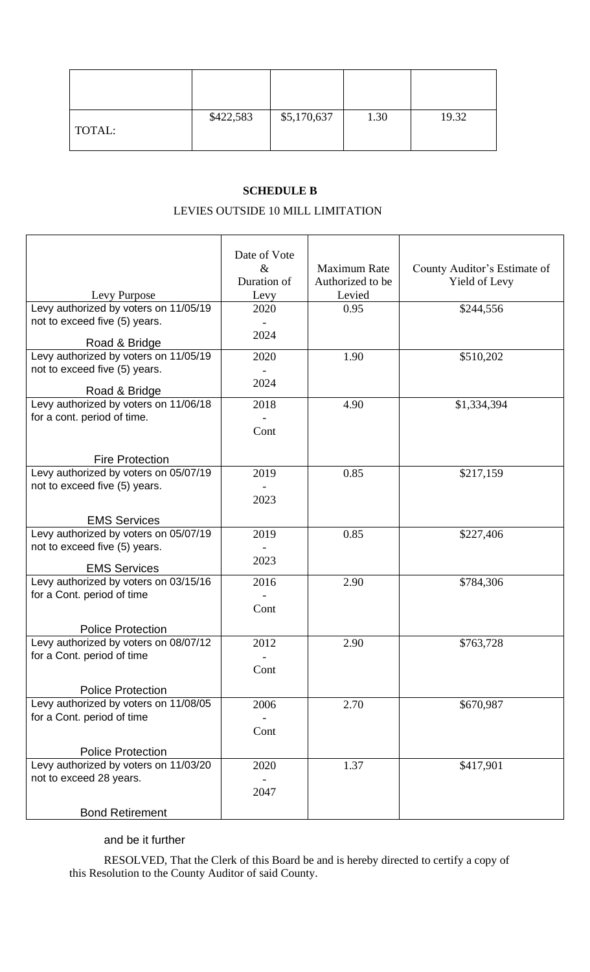| TOTAL: | \$422,583 | \$5,170,637 | 1.30 | 19.32 |
|--------|-----------|-------------|------|-------|

## **SCHEDULE B**

## LEVIES OUTSIDE 10 MILL LIMITATION

|                                                              | Date of Vote |                     |                              |
|--------------------------------------------------------------|--------------|---------------------|------------------------------|
|                                                              | &            | <b>Maximum Rate</b> | County Auditor's Estimate of |
|                                                              | Duration of  | Authorized to be    | Yield of Levy                |
| Levy Purpose                                                 | Levy         | Levied              |                              |
| Levy authorized by voters on 11/05/19                        | 2020         | 0.95                | \$244,556                    |
| not to exceed five (5) years.                                |              |                     |                              |
| Road & Bridge                                                | 2024         |                     |                              |
| Levy authorized by voters on 11/05/19                        | 2020         | 1.90                | \$510,202                    |
| not to exceed five (5) years.                                |              |                     |                              |
|                                                              | 2024         |                     |                              |
| Road & Bridge                                                |              |                     |                              |
| Levy authorized by voters on 11/06/18                        | 2018         | 4.90                | \$1,334,394                  |
| for a cont. period of time.                                  |              |                     |                              |
|                                                              | Cont         |                     |                              |
|                                                              |              |                     |                              |
| <b>Fire Protection</b>                                       |              |                     |                              |
| Levy authorized by voters on 05/07/19                        | 2019         | 0.85                | \$217,159                    |
| not to exceed five (5) years.                                |              |                     |                              |
|                                                              | 2023         |                     |                              |
| <b>EMS Services</b>                                          |              |                     |                              |
| Levy authorized by voters on 05/07/19                        | 2019         | 0.85                | \$227,406                    |
| not to exceed five (5) years.                                |              |                     |                              |
|                                                              | 2023         |                     |                              |
| <b>EMS Services</b><br>Levy authorized by voters on 03/15/16 |              | 2.90                |                              |
| for a Cont. period of time                                   | 2016         |                     | \$784,306                    |
|                                                              | Cont         |                     |                              |
|                                                              |              |                     |                              |
| <b>Police Protection</b>                                     |              |                     |                              |
| Levy authorized by voters on 08/07/12                        | 2012         | 2.90                | \$763,728                    |
| for a Cont. period of time                                   |              |                     |                              |
|                                                              | Cont         |                     |                              |
| <b>Police Protection</b>                                     |              |                     |                              |
| Levy authorized by voters on 11/08/05                        | 2006         | 2.70                | \$670,987                    |
| for a Cont. period of time                                   |              |                     |                              |
|                                                              | Cont         |                     |                              |
|                                                              |              |                     |                              |
| <b>Police Protection</b>                                     |              |                     |                              |
| Levy authorized by voters on 11/03/20                        | 2020         | 1.37                | \$417,901                    |
| not to exceed 28 years.                                      |              |                     |                              |
|                                                              | 2047         |                     |                              |
| <b>Bond Retirement</b>                                       |              |                     |                              |

## and be it further

RESOLVED, That the Clerk of this Board be and is hereby directed to certify a copy of this Resolution to the County Auditor of said County.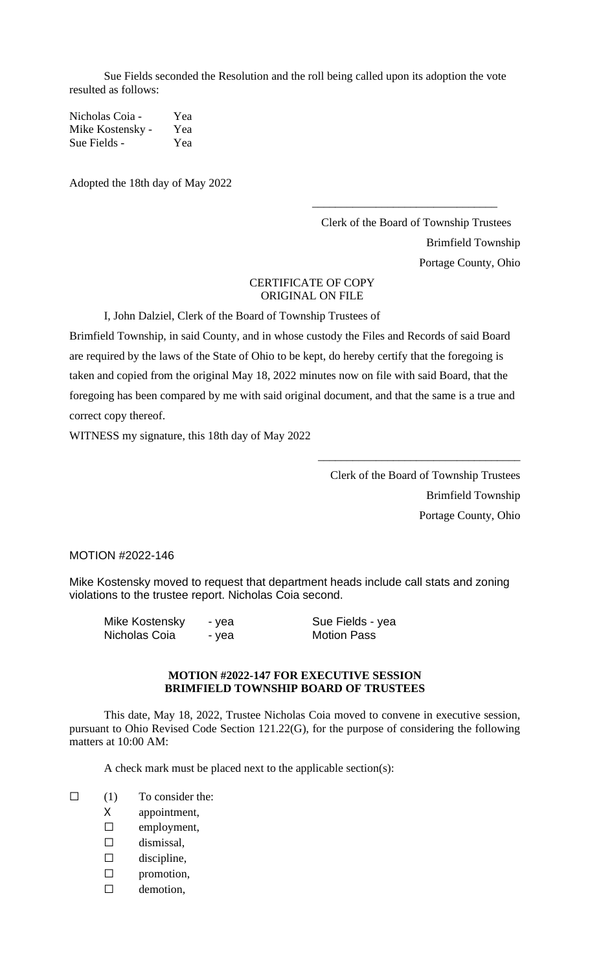Sue Fields seconded the Resolution and the roll being called upon its adoption the vote resulted as follows:

Nicholas Coia - Yea Mike Kostensky - Yea Sue Fields - Yea

Adopted the 18th day of May 2022

Clerk of the Board of Township Trustees Brimfield Township Portage County, Ohio

\_\_\_\_\_\_\_\_\_\_\_\_\_\_\_\_\_\_\_\_\_\_\_\_\_\_\_\_\_\_\_\_

## CERTIFICATE OF COPY ORIGINAL ON FILE

I, John Dalziel, Clerk of the Board of Township Trustees of

Brimfield Township, in said County, and in whose custody the Files and Records of said Board are required by the laws of the State of Ohio to be kept, do hereby certify that the foregoing is taken and copied from the original May 18, 2022 minutes now on file with said Board, that the foregoing has been compared by me with said original document, and that the same is a true and correct copy thereof.

WITNESS my signature, this 18th day of May 2022

Clerk of the Board of Township Trustees Brimfield Township Portage County, Ohio

\_\_\_\_\_\_\_\_\_\_\_\_\_\_\_\_\_\_\_\_\_\_\_\_\_\_\_\_\_\_\_\_\_\_\_

MOTION #2022-146

Mike Kostensky moved to request that department heads include call stats and zoning violations to the trustee report. Nicholas Coia second.

| Mike Kostensky | - yea | Sue Fields - yea   |
|----------------|-------|--------------------|
| Nicholas Coia  | - yea | <b>Motion Pass</b> |

### **MOTION #2022-147 FOR EXECUTIVE SESSION BRIMFIELD TOWNSHIP BOARD OF TRUSTEES**

This date, May 18, 2022, Trustee Nicholas Coia moved to convene in executive session, pursuant to Ohio Revised Code Section 121.22(G), for the purpose of considering the following matters at 10:00 AM:

A check mark must be placed next to the applicable section(s):

- $\Box$  (1) To consider the:
	- X appointment,
	- ☐ employment,
	- $\square$  dismissal,
	- $\square$  discipline,
	- ☐ promotion,
	- □ demotion,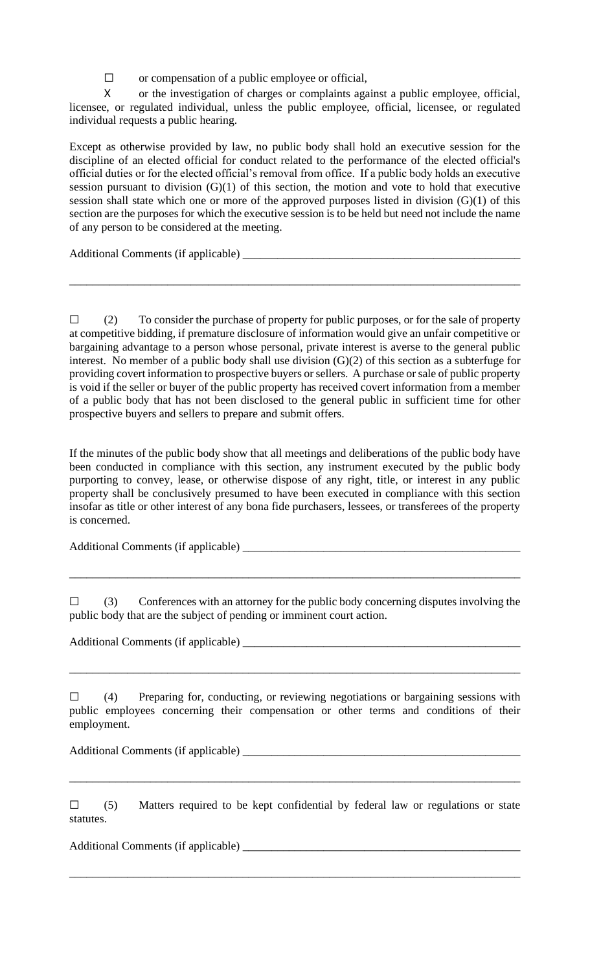$\Box$  or compensation of a public employee or official,

X or the investigation of charges or complaints against a public employee, official, licensee, or regulated individual, unless the public employee, official, licensee, or regulated individual requests a public hearing.

Except as otherwise provided by law, no public body shall hold an executive session for the discipline of an elected official for conduct related to the performance of the elected official's official duties or for the elected official's removal from office. If a public body holds an executive session pursuant to division  $(G)(1)$  of this section, the motion and vote to hold that executive session shall state which one or more of the approved purposes listed in division (G)(1) of this section are the purposes for which the executive session is to be held but need not include the name of any person to be considered at the meeting.

Additional Comments (if applicable) \_\_\_\_\_\_\_\_\_\_\_\_\_\_\_\_\_\_\_\_\_\_\_\_\_\_\_\_\_\_\_\_\_\_\_\_\_\_\_\_\_\_\_\_\_\_\_\_

 $\Box$  (2) To consider the purchase of property for public purposes, or for the sale of property at competitive bidding, if premature disclosure of information would give an unfair competitive or bargaining advantage to a person whose personal, private interest is averse to the general public interest. No member of a public body shall use division (G)(2) of this section as a subterfuge for providing covert information to prospective buyers or sellers. A purchase or sale of public property is void if the seller or buyer of the public property has received covert information from a member of a public body that has not been disclosed to the general public in sufficient time for other prospective buyers and sellers to prepare and submit offers.

\_\_\_\_\_\_\_\_\_\_\_\_\_\_\_\_\_\_\_\_\_\_\_\_\_\_\_\_\_\_\_\_\_\_\_\_\_\_\_\_\_\_\_\_\_\_\_\_\_\_\_\_\_\_\_\_\_\_\_\_\_\_\_\_\_\_\_\_\_\_\_\_\_\_\_\_\_\_

If the minutes of the public body show that all meetings and deliberations of the public body have been conducted in compliance with this section, any instrument executed by the public body purporting to convey, lease, or otherwise dispose of any right, title, or interest in any public property shall be conclusively presumed to have been executed in compliance with this section insofar as title or other interest of any bona fide purchasers, lessees, or transferees of the property is concerned.

Additional Comments (if applicable) \_\_\_\_\_\_\_\_\_\_\_\_\_\_\_\_\_\_\_\_\_\_\_\_\_\_\_\_\_\_\_\_\_\_\_\_\_\_\_\_\_\_\_\_\_\_\_\_

 $\Box$  (3) Conferences with an attorney for the public body concerning disputes involving the public body that are the subject of pending or imminent court action.

\_\_\_\_\_\_\_\_\_\_\_\_\_\_\_\_\_\_\_\_\_\_\_\_\_\_\_\_\_\_\_\_\_\_\_\_\_\_\_\_\_\_\_\_\_\_\_\_\_\_\_\_\_\_\_\_\_\_\_\_\_\_\_\_\_\_\_\_\_\_\_\_\_\_\_\_\_\_

Additional Comments (if applicable)

☐ (4) Preparing for, conducting, or reviewing negotiations or bargaining sessions with public employees concerning their compensation or other terms and conditions of their employment.

\_\_\_\_\_\_\_\_\_\_\_\_\_\_\_\_\_\_\_\_\_\_\_\_\_\_\_\_\_\_\_\_\_\_\_\_\_\_\_\_\_\_\_\_\_\_\_\_\_\_\_\_\_\_\_\_\_\_\_\_\_\_\_\_\_\_\_\_\_\_\_\_\_\_\_\_\_\_

Additional Comments (if applicable) \_\_\_\_\_\_\_\_\_\_\_\_\_\_\_\_\_\_\_\_\_\_\_\_\_\_\_\_\_\_\_\_\_\_\_\_\_\_\_\_\_\_\_\_\_\_\_\_

 $\square$  (5) Matters required to be kept confidential by federal law or regulations or state statutes.

\_\_\_\_\_\_\_\_\_\_\_\_\_\_\_\_\_\_\_\_\_\_\_\_\_\_\_\_\_\_\_\_\_\_\_\_\_\_\_\_\_\_\_\_\_\_\_\_\_\_\_\_\_\_\_\_\_\_\_\_\_\_\_\_\_\_\_\_\_\_\_\_\_\_\_\_\_\_

\_\_\_\_\_\_\_\_\_\_\_\_\_\_\_\_\_\_\_\_\_\_\_\_\_\_\_\_\_\_\_\_\_\_\_\_\_\_\_\_\_\_\_\_\_\_\_\_\_\_\_\_\_\_\_\_\_\_\_\_\_\_\_\_\_\_\_\_\_\_\_\_\_\_\_\_\_\_

Additional Comments (if applicable) \_\_\_\_\_\_\_\_\_\_\_\_\_\_\_\_\_\_\_\_\_\_\_\_\_\_\_\_\_\_\_\_\_\_\_\_\_\_\_\_\_\_\_\_\_\_\_\_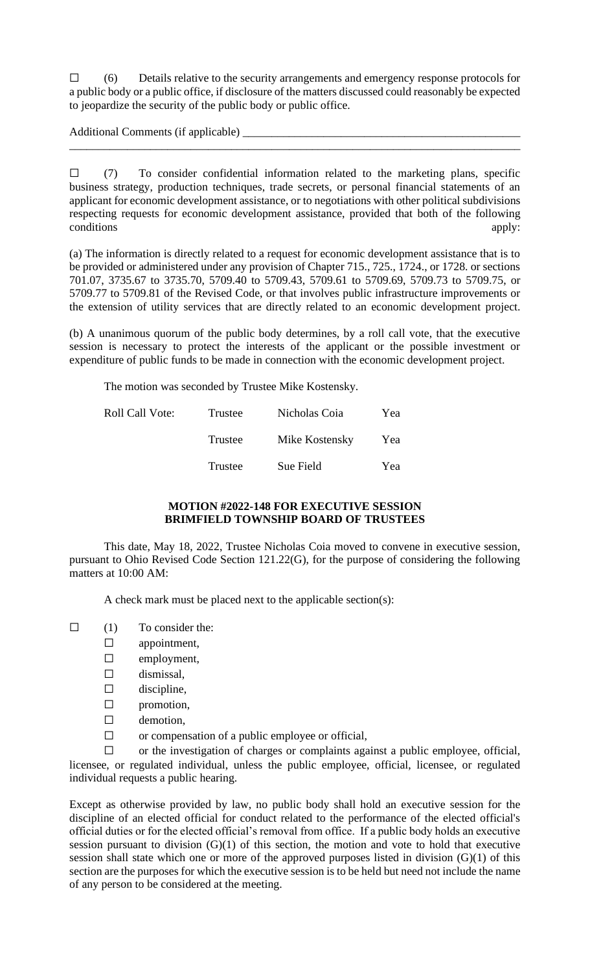$\Box$  (6) Details relative to the security arrangements and emergency response protocols for a public body or a public office, if disclosure of the matters discussed could reasonably be expected to jeopardize the security of the public body or public office.

\_\_\_\_\_\_\_\_\_\_\_\_\_\_\_\_\_\_\_\_\_\_\_\_\_\_\_\_\_\_\_\_\_\_\_\_\_\_\_\_\_\_\_\_\_\_\_\_\_\_\_\_\_\_\_\_\_\_\_\_\_\_\_\_\_\_\_\_\_\_\_\_\_\_\_\_\_\_

Additional Comments (if applicable)

 $\square$  (7) To consider confidential information related to the marketing plans, specific business strategy, production techniques, trade secrets, or personal financial statements of an applicant for economic development assistance, or to negotiations with other political subdivisions respecting requests for economic development assistance, provided that both of the following conditions apply:

(a) The information is directly related to a request for economic development assistance that is to be provided or administered under any provision of Chapter 715., 725., 1724., or 1728. or sections 701.07, 3735.67 to 3735.70, 5709.40 to 5709.43, 5709.61 to 5709.69, 5709.73 to 5709.75, or 5709.77 to 5709.81 of the Revised Code, or that involves public infrastructure improvements or the extension of utility services that are directly related to an economic development project.

(b) A unanimous quorum of the public body determines, by a roll call vote, that the executive session is necessary to protect the interests of the applicant or the possible investment or expenditure of public funds to be made in connection with the economic development project.

The motion was seconded by Trustee Mike Kostensky.

| Roll Call Vote: | Trustee | Nicholas Coia  | Yea |
|-----------------|---------|----------------|-----|
|                 | Trustee | Mike Kostensky | Yea |
|                 | Trustee | Sue Field      | Yea |

### **MOTION #2022-148 FOR EXECUTIVE SESSION BRIMFIELD TOWNSHIP BOARD OF TRUSTEES**

This date, May 18, 2022, Trustee Nicholas Coia moved to convene in executive session, pursuant to Ohio Revised Code Section 121.22(G), for the purpose of considering the following matters at 10:00 AM:

A check mark must be placed next to the applicable section(s):

- $\Box$  (1) To consider the:
	- □ appointment,
		- ☐ employment,
		- $\square$  dismissal,
		- $\square$  discipline,
		- ☐ promotion,
		- □ demotion,
		- $\Box$  or compensation of a public employee or official,

☐ or the investigation of charges or complaints against a public employee, official, licensee, or regulated individual, unless the public employee, official, licensee, or regulated individual requests a public hearing.

Except as otherwise provided by law, no public body shall hold an executive session for the discipline of an elected official for conduct related to the performance of the elected official's official duties or for the elected official's removal from office. If a public body holds an executive session pursuant to division (G)(1) of this section, the motion and vote to hold that executive session shall state which one or more of the approved purposes listed in division  $(G)(1)$  of this section are the purposes for which the executive session is to be held but need not include the name of any person to be considered at the meeting.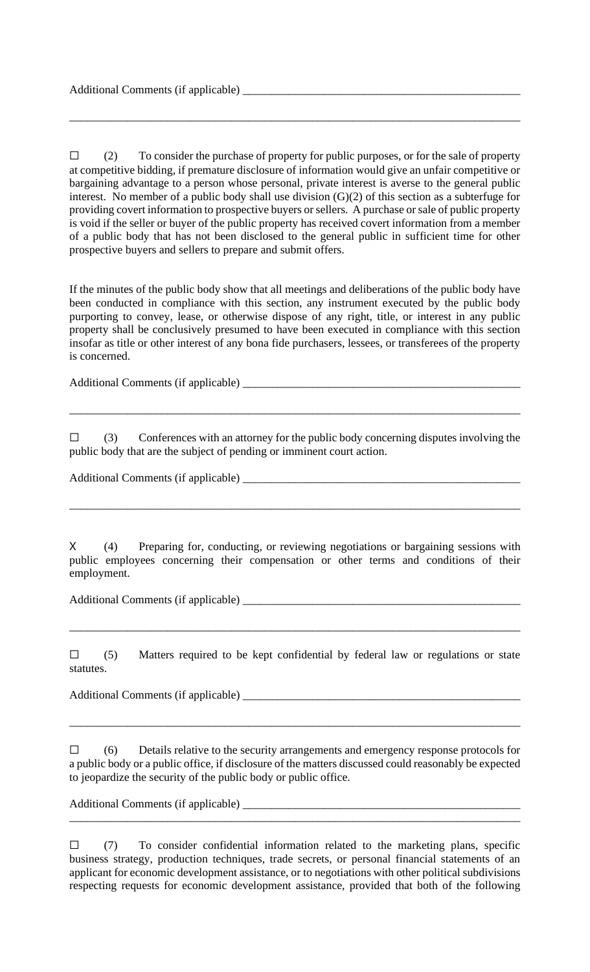$\Box$  (2) To consider the purchase of property for public purposes, or for the sale of property at competitive bidding, if premature disclosure of information would give an unfair competitive or bargaining advantage to a person whose personal, private interest is averse to the general public interest. No member of a public body shall use division (G)(2) of this section as a subterfuge for providing covert information to prospective buyers or sellers. A purchase or sale of public property is void if the seller or buyer of the public property has received covert information from a member of a public body that has not been disclosed to the general public in sufficient time for other prospective buyers and sellers to prepare and submit offers.

\_\_\_\_\_\_\_\_\_\_\_\_\_\_\_\_\_\_\_\_\_\_\_\_\_\_\_\_\_\_\_\_\_\_\_\_\_\_\_\_\_\_\_\_\_\_\_\_\_\_\_\_\_\_\_\_\_\_\_\_\_\_\_\_\_\_\_\_\_\_\_\_\_\_\_\_\_\_

If the minutes of the public body show that all meetings and deliberations of the public body have been conducted in compliance with this section, any instrument executed by the public body purporting to convey, lease, or otherwise dispose of any right, title, or interest in any public property shall be conclusively presumed to have been executed in compliance with this section insofar as title or other interest of any bona fide purchasers, lessees, or transferees of the property is concerned.

Additional Comments (if applicable) \_\_\_\_\_\_\_\_\_\_\_\_\_\_\_\_\_\_\_\_\_\_\_\_\_\_\_\_\_\_\_\_\_\_\_\_\_\_\_\_\_\_\_\_\_\_\_\_

 $\square$  (3) Conferences with an attorney for the public body concerning disputes involving the public body that are the subject of pending or imminent court action.

\_\_\_\_\_\_\_\_\_\_\_\_\_\_\_\_\_\_\_\_\_\_\_\_\_\_\_\_\_\_\_\_\_\_\_\_\_\_\_\_\_\_\_\_\_\_\_\_\_\_\_\_\_\_\_\_\_\_\_\_\_\_\_\_\_\_\_\_\_\_\_\_\_\_\_\_\_\_

Additional Comments (if applicable) \_\_\_\_\_\_\_\_\_\_\_\_\_\_\_\_\_\_\_\_\_\_\_\_\_\_\_\_\_\_\_\_\_\_\_\_\_\_\_\_\_\_\_\_\_\_\_\_

X (4) Preparing for, conducting, or reviewing negotiations or bargaining sessions with public employees concerning their compensation or other terms and conditions of their employment.

\_\_\_\_\_\_\_\_\_\_\_\_\_\_\_\_\_\_\_\_\_\_\_\_\_\_\_\_\_\_\_\_\_\_\_\_\_\_\_\_\_\_\_\_\_\_\_\_\_\_\_\_\_\_\_\_\_\_\_\_\_\_\_\_\_\_\_\_\_\_\_\_\_\_\_\_\_\_

Additional Comments (if applicable) \_\_\_\_\_\_\_\_\_\_\_\_\_\_\_\_\_\_\_\_\_\_\_\_\_\_\_\_\_\_\_\_\_\_\_\_\_\_\_\_\_\_\_\_\_\_\_\_

 $\square$  (5) Matters required to be kept confidential by federal law or regulations or state statutes.

\_\_\_\_\_\_\_\_\_\_\_\_\_\_\_\_\_\_\_\_\_\_\_\_\_\_\_\_\_\_\_\_\_\_\_\_\_\_\_\_\_\_\_\_\_\_\_\_\_\_\_\_\_\_\_\_\_\_\_\_\_\_\_\_\_\_\_\_\_\_\_\_\_\_\_\_\_\_

Additional Comments (if applicable) \_\_\_\_\_\_\_\_\_\_\_\_\_\_\_\_\_\_\_\_\_\_\_\_\_\_\_\_\_\_\_\_\_\_\_\_\_\_\_\_\_\_\_\_\_\_\_\_

☐ (6) Details relative to the security arrangements and emergency response protocols for a public body or a public office, if disclosure of the matters discussed could reasonably be expected to jeopardize the security of the public body or public office.

\_\_\_\_\_\_\_\_\_\_\_\_\_\_\_\_\_\_\_\_\_\_\_\_\_\_\_\_\_\_\_\_\_\_\_\_\_\_\_\_\_\_\_\_\_\_\_\_\_\_\_\_\_\_\_\_\_\_\_\_\_\_\_\_\_\_\_\_\_\_\_\_\_\_\_\_\_\_

Additional Comments (if applicable) \_\_\_\_\_\_\_\_\_\_\_\_\_\_\_\_\_\_\_\_\_\_\_\_\_\_\_\_\_\_\_\_\_\_\_\_\_\_\_\_\_\_\_\_\_\_\_\_

 $\Box$  (7) To consider confidential information related to the marketing plans, specific business strategy, production techniques, trade secrets, or personal financial statements of an applicant for economic development assistance, or to negotiations with other political subdivisions respecting requests for economic development assistance, provided that both of the following

\_\_\_\_\_\_\_\_\_\_\_\_\_\_\_\_\_\_\_\_\_\_\_\_\_\_\_\_\_\_\_\_\_\_\_\_\_\_\_\_\_\_\_\_\_\_\_\_\_\_\_\_\_\_\_\_\_\_\_\_\_\_\_\_\_\_\_\_\_\_\_\_\_\_\_\_\_\_